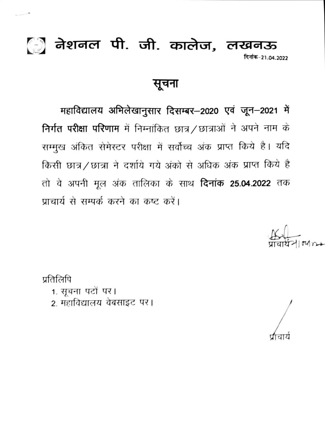## ि] नेशनल पी. जी. कालेज, लखनऊ दिनांक-21.04.2022

सूचना

महाविद्यालय अभिलेखानुसार दिसम्बर-2020 एवं जून-2021 में निर्गत परीक्षा परिणाम में निम्नांकित छात्र / छात्राओं ने अपने नाम के सम्मुख अंकित सेमेस्टर परीक्षा में सर्वोच्च अंक प्राप्त किये है। यदि किसी छात्र/छात्रा ने दर्शाये गये अंको से अधिक अंक प्राप्त किये है तो वे अपनी मूल अंक तालिका के साथ **दिनांक 25.04.2022** तक प्राचार्य से सम्पर्क करने का कष्ट करें।

प्रतिलिपि

1. सूचना पटों पर। 2. महाविद्यालय वेबसाइट पर।

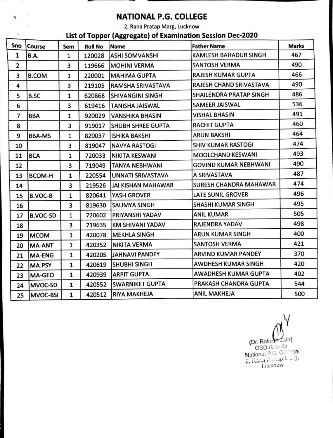

## **NATIONAL P.G. COLLEGE**

2, Rana Pratap Marg, Lucknow

## **List of Topper (Aggregate) of Examination Session Dec-2020**

| Sno | Course          | Sem | <b>Roll No</b> | Name                     | <b>Father Name</b>           | <b>Marks</b> |
|-----|-----------------|-----|----------------|--------------------------|------------------------------|--------------|
| 1   | <b>B.A.</b>     | 1   | 120028         | <b>ASHI SOMVANSHI</b>    | <b>KAMLESH BAHADUR SINGH</b> | 467          |
| 2   |                 | 3   | 119666         | <b>MOHINI VERMA</b>      | <b>SANTOSH VERMA</b>         | 490          |
| 3   | <b>B.COM</b>    | 1   | 220001         | <b>MAHIMA GUPTA</b>      | <b>RAJESH KUMAR GUPTA</b>    | 466          |
| 4   |                 | 3   | 219105         | <b>RAMSHA SRIVASTAVA</b> | RAJESH CHAND SRIVASTAVA      | 490          |
| 5   | B.SC            | 1   | 620868         | <b>SHIVANGINI SINGH</b>  | SHAILENDRA PRATAP SINGH      | 486          |
| 6   |                 | 3   | 619416         | TANISHA JAISWAL          | SAMEER JAISWAL               | 536          |
| 7   | <b>BBA</b>      | 1   | 920029         | <b>VANSHIKA BHASIN</b>   | <b>VISHAL BHASIN</b>         | 491          |
| 8   |                 | 3   | 919017         | <b>SHUBH SHREE GUPTA</b> | <b>RACHIT GUPTA</b>          | 460          |
| 9   | <b>BBA-MS</b>   | 1   | 820037         | <b>ISHIKA BAKSHI</b>     | <b>ARUN BAKSHI</b>           | 464          |
| 10  |                 | 3   | 819047         | <b>NAVYA RASTOGI</b>     | <b>SHIV KUMAR RASTOGI</b>    | 474          |
| 11  | <b>BCA</b>      | 1   | 720033         | <b>NIKITA KESWANI</b>    | <b>MOOLCHAND KESWANI</b>     | 493          |
| 12  |                 | з   | 719049         | <b>TANYA NEBHWANI</b>    | <b>GOVIND KUMAR NEBHWANI</b> | 490          |
| 13  | <b>BCOM-H</b>   | 1   | 220554         | UNNATI SRIVASTAVA        | A SRIVASTAVA                 | 487          |
| 14  |                 | 3   | 219526         | JAI KISHAN MAHAWAR       | SURESH CHANDRA MAHAWAR       | 474          |
| 15  | <b>B.VOC-B</b>  | 1   | 820641         | YASH GROVER              | LATE SUNIL GROVER            | 496          |
| 16  |                 | 3   | 819630         | <b>SAUMYA SINGH</b>      | <b>SHASHI KUMAR SINGH</b>    | 495          |
| 17  | <b>B.VOC-SD</b> | 1   | 720602         | PRIYANSHI YADAV          | <b>ANIL KUMAR</b>            | 505          |
| 18  |                 | 3   | 719635         | KM SHIVANI YADAV         | <b>RAJENDRA YADAV</b>        | 498          |
| 19  | <b>MCOM</b>     | 1   | 420078         | <b>MEKHLA SINGH</b>      | <b>ARUN KUMAR SINGH</b>      | 400          |
| 20  | <b>MA-ANT</b>   | 1   | 420352         | <b>NIKITA VERMA</b>      | <b>SANTOSH VERMA</b>         | 421          |
| 21  | <b>MA-ENG</b>   | 1   | 420205         | <b>JAHNAVI PANDEY</b>    | ARVIND KUMAR PANDEY          | 370          |
| 22  | MA.PSY          | 1   | 420619         | <b>SHUBHI SINGH</b>      | AWDHESH KUMAR SINGH          | 420          |
| 23  | <b>MA-GEO</b>   | 1   | 420939         | <b>ARPIT GUPTA</b>       | AWADHESH KUMAR GUPTA         | 402          |
| 24  | MVOC-SD         | 1   | 420552         | <b>SWARNIKET GUPTA</b>   | PRAKASH CHANDRA GUPTA        | 544          |
| 25  | MVOC-BSI        | 1   | 420512         | <b>RIYA MAKHEJA</b>      | <b>ANIL MAKHEJA</b>          | 500          |

y (Dr. Rakes Jain) OSD Results National P.G. Comage  $\alpha$ . Rana Pictop N. ... g. Lucknow